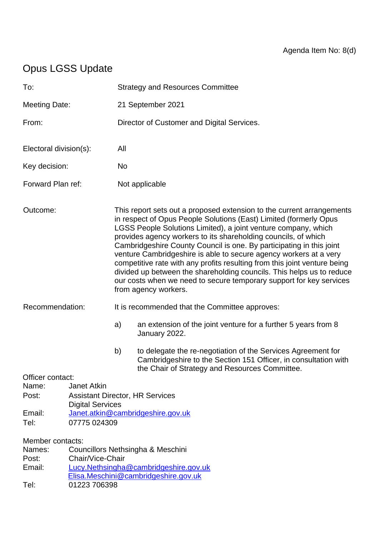# Opus LGSS Update

| To:                                                                                                                                                                                                             |                                                                                                                                              | <b>Strategy and Resources Committee</b>                                                                                                                                                                                                                                                                                                                                                                                                                                                                                                                                                                                                                                          |                                                                                                                                                                                   |  |
|-----------------------------------------------------------------------------------------------------------------------------------------------------------------------------------------------------------------|----------------------------------------------------------------------------------------------------------------------------------------------|----------------------------------------------------------------------------------------------------------------------------------------------------------------------------------------------------------------------------------------------------------------------------------------------------------------------------------------------------------------------------------------------------------------------------------------------------------------------------------------------------------------------------------------------------------------------------------------------------------------------------------------------------------------------------------|-----------------------------------------------------------------------------------------------------------------------------------------------------------------------------------|--|
| <b>Meeting Date:</b>                                                                                                                                                                                            |                                                                                                                                              | 21 September 2021                                                                                                                                                                                                                                                                                                                                                                                                                                                                                                                                                                                                                                                                |                                                                                                                                                                                   |  |
| From:                                                                                                                                                                                                           |                                                                                                                                              | Director of Customer and Digital Services.                                                                                                                                                                                                                                                                                                                                                                                                                                                                                                                                                                                                                                       |                                                                                                                                                                                   |  |
| Electoral division(s):                                                                                                                                                                                          |                                                                                                                                              | All                                                                                                                                                                                                                                                                                                                                                                                                                                                                                                                                                                                                                                                                              |                                                                                                                                                                                   |  |
| Key decision:                                                                                                                                                                                                   |                                                                                                                                              | <b>No</b>                                                                                                                                                                                                                                                                                                                                                                                                                                                                                                                                                                                                                                                                        |                                                                                                                                                                                   |  |
| Forward Plan ref:                                                                                                                                                                                               |                                                                                                                                              | Not applicable                                                                                                                                                                                                                                                                                                                                                                                                                                                                                                                                                                                                                                                                   |                                                                                                                                                                                   |  |
| Outcome:                                                                                                                                                                                                        |                                                                                                                                              | This report sets out a proposed extension to the current arrangements<br>in respect of Opus People Solutions (East) Limited (formerly Opus<br>LGSS People Solutions Limited), a joint venture company, which<br>provides agency workers to its shareholding councils, of which<br>Cambridgeshire County Council is one. By participating in this joint<br>venture Cambridgeshire is able to secure agency workers at a very<br>competitive rate with any profits resulting from this joint venture being<br>divided up between the shareholding councils. This helps us to reduce<br>our costs when we need to secure temporary support for key services<br>from agency workers. |                                                                                                                                                                                   |  |
| Recommendation:                                                                                                                                                                                                 |                                                                                                                                              | It is recommended that the Committee approves:                                                                                                                                                                                                                                                                                                                                                                                                                                                                                                                                                                                                                                   |                                                                                                                                                                                   |  |
|                                                                                                                                                                                                                 |                                                                                                                                              | a)                                                                                                                                                                                                                                                                                                                                                                                                                                                                                                                                                                                                                                                                               | an extension of the joint venture for a further 5 years from 8<br>January 2022.                                                                                                   |  |
|                                                                                                                                                                                                                 |                                                                                                                                              | b)                                                                                                                                                                                                                                                                                                                                                                                                                                                                                                                                                                                                                                                                               | to delegate the re-negotiation of the Services Agreement for<br>Cambridgeshire to the Section 151 Officer, in consultation with<br>the Chair of Strategy and Resources Committee. |  |
| Officer contact:<br>Name:<br>Post:<br>Email:<br>Tel:                                                                                                                                                            | <b>Janet Atkin</b><br><b>Assistant Director, HR Services</b><br><b>Digital Services</b><br>Janet.atkin@cambridgeshire.gov.uk<br>07775 024309 |                                                                                                                                                                                                                                                                                                                                                                                                                                                                                                                                                                                                                                                                                  |                                                                                                                                                                                   |  |
| Member contacts:<br>Councillors Nethsingha & Meschini<br>Names:<br>Chair/Vice-Chair<br>Post:<br>Email:<br>Lucy.Nethsingha@cambridgeshire.gov.uk<br>Elisa.Meschini@cambridgeshire.gov.uk<br>Tel:<br>01223 706398 |                                                                                                                                              |                                                                                                                                                                                                                                                                                                                                                                                                                                                                                                                                                                                                                                                                                  |                                                                                                                                                                                   |  |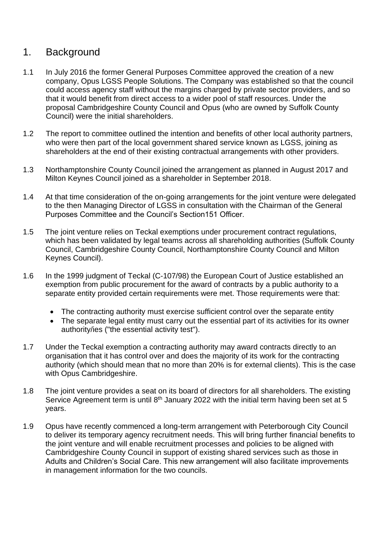## 1. Background

- 1.1 In July 2016 the former General Purposes Committee approved the creation of a new company, Opus LGSS People Solutions. The Company was established so that the council could access agency staff without the margins charged by private sector providers, and so that it would benefit from direct access to a wider pool of staff resources. Under the proposal Cambridgeshire County Council and Opus (who are owned by Suffolk County Council) were the initial shareholders.
- 1.2 The report to committee outlined the intention and benefits of other local authority partners, who were then part of the local government shared service known as LGSS, joining as shareholders at the end of their existing contractual arrangements with other providers.
- 1.3 Northamptonshire County Council joined the arrangement as planned in August 2017 and Milton Keynes Council joined as a shareholder in September 2018.
- 1.4 At that time consideration of the on-going arrangements for the joint venture were delegated to the then Managing Director of LGSS in consultation with the Chairman of the General Purposes Committee and the Council's Section151 Officer.
- 1.5 The joint venture relies on Teckal exemptions under procurement contract regulations, which has been validated by legal teams across all shareholding authorities (Suffolk County Council, Cambridgeshire County Council, Northamptonshire County Council and Milton Keynes Council).
- 1.6 In the 1999 judgment of Teckal (C-107/98) the European Court of Justice established an exemption from public procurement for the award of contracts by a public authority to a separate entity provided certain requirements were met. Those requirements were that:
	- The contracting authority must exercise sufficient control over the separate entity
	- The separate legal entity must carry out the essential part of its activities for its owner authority/ies ("the essential activity test").
- 1.7 Under the Teckal exemption a contracting authority may award contracts directly to an organisation that it has control over and does the majority of its work for the contracting authority (which should mean that no more than 20% is for external clients). This is the case with Opus Cambridgeshire.
- 1.8 The joint venture provides a seat on its board of directors for all shareholders. The existing Service Agreement term is until  $8<sup>th</sup>$  January 2022 with the initial term having been set at 5 years.
- 1.9 Opus have recently commenced a long-term arrangement with Peterborough City Council to deliver its temporary agency recruitment needs. This will bring further financial benefits to the joint venture and will enable recruitment processes and policies to be aligned with Cambridgeshire County Council in support of existing shared services such as those in Adults and Children's Social Care. This new arrangement will also facilitate improvements in management information for the two councils.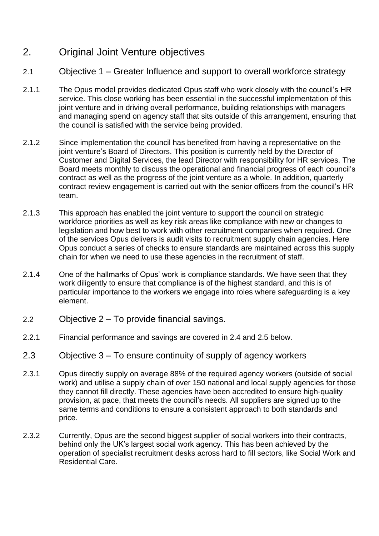## 2. Original Joint Venture objectives

- 2.1 Objective 1 Greater Influence and support to overall workforce strategy
- 2.1.1 The Opus model provides dedicated Opus staff who work closely with the council's HR service. This close working has been essential in the successful implementation of this joint venture and in driving overall performance, building relationships with managers and managing spend on agency staff that sits outside of this arrangement, ensuring that the council is satisfied with the service being provided.
- 2.1.2 Since implementation the council has benefited from having a representative on the joint venture's Board of Directors. This position is currently held by the Director of Customer and Digital Services, the lead Director with responsibility for HR services. The Board meets monthly to discuss the operational and financial progress of each council's contract as well as the progress of the joint venture as a whole. In addition, quarterly contract review engagement is carried out with the senior officers from the council's HR team.
- 2.1.3 This approach has enabled the joint venture to support the council on strategic workforce priorities as well as key risk areas like compliance with new or changes to legislation and how best to work with other recruitment companies when required. One of the services Opus delivers is audit visits to recruitment supply chain agencies. Here Opus conduct a series of checks to ensure standards are maintained across this supply chain for when we need to use these agencies in the recruitment of staff.
- 2.1.4 One of the hallmarks of Opus' work is compliance standards. We have seen that they work diligently to ensure that compliance is of the highest standard, and this is of particular importance to the workers we engage into roles where safeguarding is a key element.
- 2.2 Objective 2 To provide financial savings.
- 2.2.1 Financial performance and savings are covered in 2.4 and 2.5 below.
- 2.3 Objective 3 To ensure continuity of supply of agency workers
- 2.3.1 Opus directly supply on average 88% of the required agency workers (outside of social work) and utilise a supply chain of over 150 national and local supply agencies for those they cannot fill directly. These agencies have been accredited to ensure high-quality provision, at pace, that meets the council's needs. All suppliers are signed up to the same terms and conditions to ensure a consistent approach to both standards and price.
- 2.3.2 Currently, Opus are the second biggest supplier of social workers into their contracts, behind only the UK's largest social work agency. This has been achieved by the operation of specialist recruitment desks across hard to fill sectors, like Social Work and Residential Care.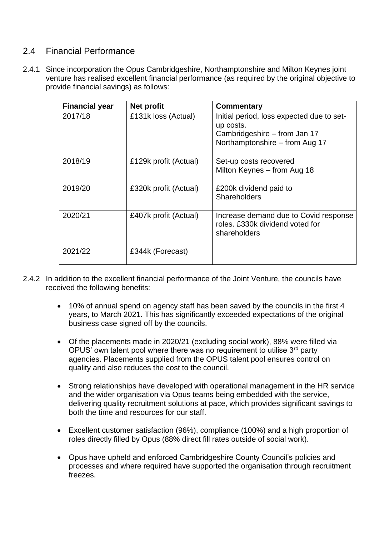#### 2.4 Financial Performance

2.4.1 Since incorporation the Opus Cambridgeshire, Northamptonshire and Milton Keynes joint venture has realised excellent financial performance (as required by the original objective to provide financial savings) as follows:

| <b>Financial year</b> | Net profit            | Commentary                                                                                                               |
|-----------------------|-----------------------|--------------------------------------------------------------------------------------------------------------------------|
| 2017/18               | £131k loss (Actual)   | Initial period, loss expected due to set-<br>up costs.<br>Cambridgeshire – from Jan 17<br>Northamptonshire - from Aug 17 |
| 2018/19               | £129k profit (Actual) | Set-up costs recovered<br>Milton Keynes - from Aug 18                                                                    |
| 2019/20               | £320k profit (Actual) | £200k dividend paid to<br>Shareholders                                                                                   |
| 2020/21               | £407k profit (Actual) | Increase demand due to Covid response<br>roles. £330k dividend voted for<br>shareholders                                 |
| 2021/22               | £344k (Forecast)      |                                                                                                                          |

- 2.4.2 In addition to the excellent financial performance of the Joint Venture, the councils have received the following benefits:
	- 10% of annual spend on agency staff has been saved by the councils in the first 4 years, to March 2021. This has significantly exceeded expectations of the original business case signed off by the councils.
	- Of the placements made in 2020/21 (excluding social work), 88% were filled via OPUS' own talent pool where there was no requirement to utilise  $3<sup>rd</sup>$  party agencies. Placements supplied from the OPUS talent pool ensures control on quality and also reduces the cost to the council.
	- Strong relationships have developed with operational management in the HR service and the wider organisation via Opus teams being embedded with the service, delivering quality recruitment solutions at pace, which provides significant savings to both the time and resources for our staff.
	- Excellent customer satisfaction (96%), compliance (100%) and a high proportion of roles directly filled by Opus (88% direct fill rates outside of social work).
	- Opus have upheld and enforced Cambridgeshire County Council's policies and processes and where required have supported the organisation through recruitment freezes.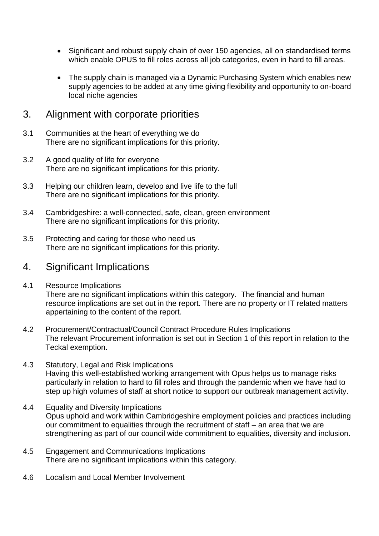- Significant and robust supply chain of over 150 agencies, all on standardised terms which enable OPUS to fill roles across all job categories, even in hard to fill areas.
- The supply chain is managed via a Dynamic Purchasing System which enables new supply agencies to be added at any time giving flexibility and opportunity to on-board local niche agencies

### 3. Alignment with corporate priorities

- 3.1 Communities at the heart of everything we do There are no significant implications for this priority.
- 3.2 A good quality of life for everyone There are no significant implications for this priority.
- 3.3 Helping our children learn, develop and live life to the full There are no significant implications for this priority.
- 3.4 Cambridgeshire: a well-connected, safe, clean, green environment There are no significant implications for this priority.
- 3.5 Protecting and caring for those who need us There are no significant implications for this priority.

#### 4. Significant Implications

- 4.1 Resource Implications There are no significant implications within this category. The financial and human resource implications are set out in the report. There are no property or IT related matters appertaining to the content of the report.
- 4.2 Procurement/Contractual/Council Contract Procedure Rules Implications The relevant Procurement information is set out in Section 1 of this report in relation to the Teckal exemption.
- 4.3 Statutory, Legal and Risk Implications Having this well-established working arrangement with Opus helps us to manage risks particularly in relation to hard to fill roles and through the pandemic when we have had to step up high volumes of staff at short notice to support our outbreak management activity.
- 4.4 Equality and Diversity Implications Opus uphold and work within Cambridgeshire employment policies and practices including our commitment to equalities through the recruitment of staff – an area that we are strengthening as part of our council wide commitment to equalities, diversity and inclusion.
- 4.5 Engagement and Communications Implications There are no significant implications within this category.
- 4.6 Localism and Local Member Involvement